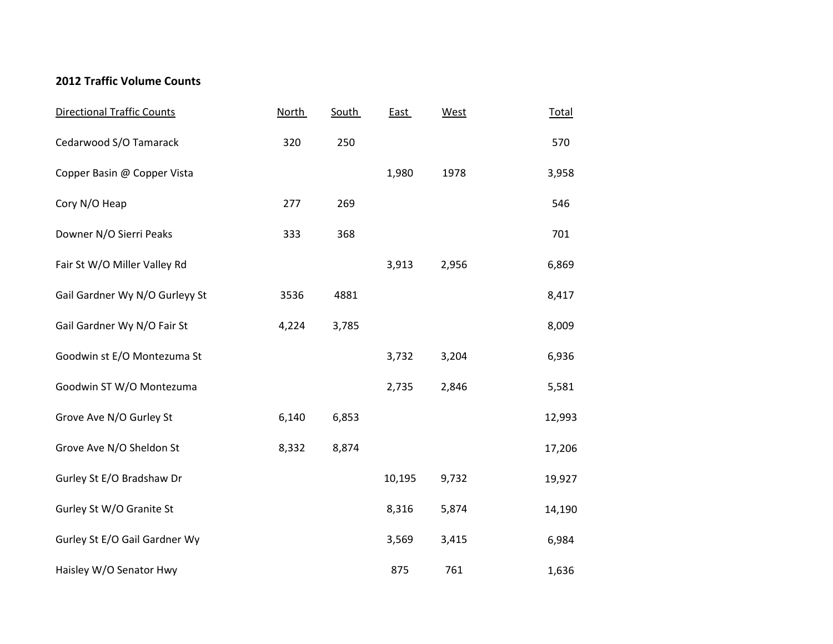## **2012 Traffic Volume Counts**

| <b>Directional Traffic Counts</b> | <b>North</b> | South | <b>East</b> | West  | <b>Total</b> |
|-----------------------------------|--------------|-------|-------------|-------|--------------|
| Cedarwood S/O Tamarack            | 320          | 250   |             |       | 570          |
| Copper Basin @ Copper Vista       |              |       | 1,980       | 1978  | 3,958        |
| Cory N/O Heap                     | 277          | 269   |             |       | 546          |
| Downer N/O Sierri Peaks           | 333          | 368   |             |       | 701          |
| Fair St W/O Miller Valley Rd      |              |       | 3,913       | 2,956 | 6,869        |
| Gail Gardner Wy N/O Gurleyy St    | 3536         | 4881  |             |       | 8,417        |
| Gail Gardner Wy N/O Fair St       | 4,224        | 3,785 |             |       | 8,009        |
| Goodwin st E/O Montezuma St       |              |       | 3,732       | 3,204 | 6,936        |
| Goodwin ST W/O Montezuma          |              |       | 2,735       | 2,846 | 5,581        |
| Grove Ave N/O Gurley St           | 6,140        | 6,853 |             |       | 12,993       |
| Grove Ave N/O Sheldon St          | 8,332        | 8,874 |             |       | 17,206       |
| Gurley St E/O Bradshaw Dr         |              |       | 10,195      | 9,732 | 19,927       |
| Gurley St W/O Granite St          |              |       | 8,316       | 5,874 | 14,190       |
| Gurley St E/O Gail Gardner Wy     |              |       | 3,569       | 3,415 | 6,984        |
| Haisley W/O Senator Hwy           |              |       | 875         | 761   | 1,636        |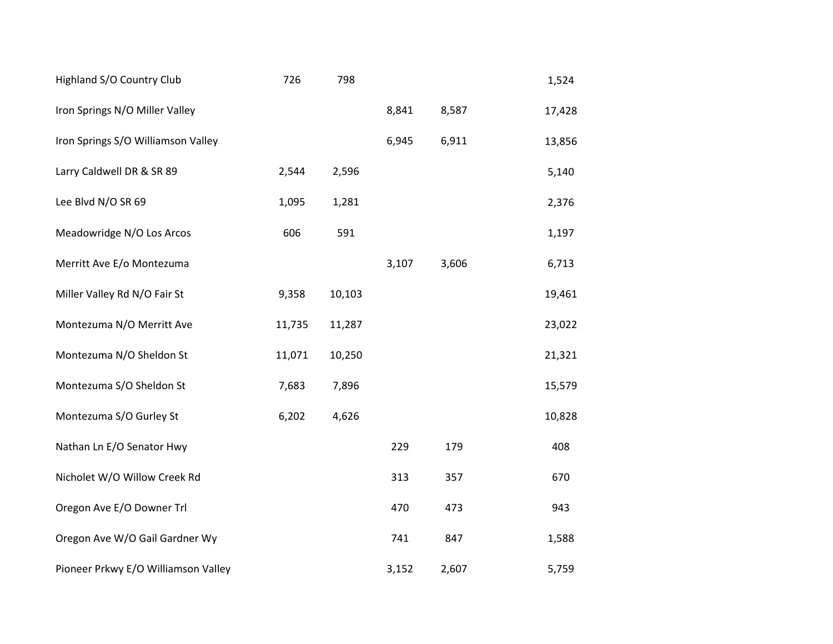| Highland S/O Country Club           | 726    | 798    |       |       | 1,524  |
|-------------------------------------|--------|--------|-------|-------|--------|
| Iron Springs N/O Miller Valley      |        |        | 8,841 | 8,587 | 17,428 |
| Iron Springs S/O Williamson Valley  |        |        | 6,945 | 6,911 | 13,856 |
| Larry Caldwell DR & SR 89           | 2,544  | 2,596  |       |       | 5,140  |
| Lee Blvd N/O SR 69                  | 1,095  | 1,281  |       |       | 2,376  |
| Meadowridge N/O Los Arcos           | 606    | 591    |       |       | 1,197  |
| Merritt Ave E/o Montezuma           |        |        | 3,107 | 3,606 | 6,713  |
| Miller Valley Rd N/O Fair St        | 9,358  | 10,103 |       |       | 19,461 |
| Montezuma N/O Merritt Ave           | 11,735 | 11,287 |       |       | 23,022 |
| Montezuma N/O Sheldon St            | 11,071 | 10,250 |       |       | 21,321 |
| Montezuma S/O Sheldon St            | 7,683  | 7,896  |       |       | 15,579 |
| Montezuma S/O Gurley St             | 6,202  | 4,626  |       |       | 10,828 |
| Nathan Ln E/O Senator Hwy           |        |        | 229   | 179   | 408    |
| Nicholet W/O Willow Creek Rd        |        |        | 313   | 357   | 670    |
| Oregon Ave E/O Downer Trl           |        |        | 470   | 473   | 943    |
| Oregon Ave W/O Gail Gardner Wy      |        |        | 741   | 847   | 1,588  |
| Pioneer Prkwy E/O Williamson Valley |        |        | 3,152 | 2,607 | 5,759  |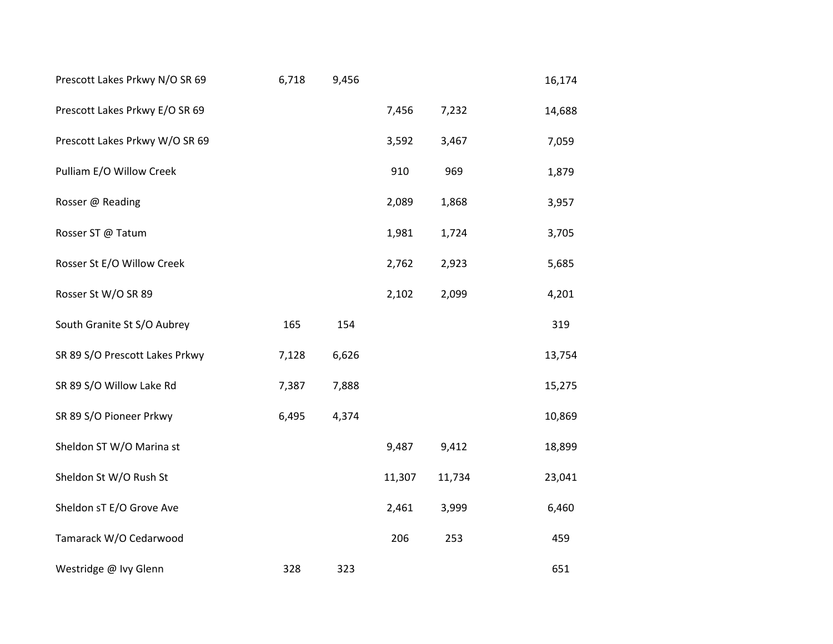| Prescott Lakes Prkwy N/O SR 69 | 6,718 | 9,456 |        |        | 16,174 |
|--------------------------------|-------|-------|--------|--------|--------|
| Prescott Lakes Prkwy E/O SR 69 |       |       | 7,456  | 7,232  | 14,688 |
| Prescott Lakes Prkwy W/O SR 69 |       |       | 3,592  | 3,467  | 7,059  |
| Pulliam E/O Willow Creek       |       |       | 910    | 969    | 1,879  |
| Rosser @ Reading               |       |       | 2,089  | 1,868  | 3,957  |
| Rosser ST @ Tatum              |       |       | 1,981  | 1,724  | 3,705  |
| Rosser St E/O Willow Creek     |       |       | 2,762  | 2,923  | 5,685  |
| Rosser St W/O SR 89            |       |       | 2,102  | 2,099  | 4,201  |
| South Granite St S/O Aubrey    | 165   | 154   |        |        | 319    |
| SR 89 S/O Prescott Lakes Prkwy | 7,128 | 6,626 |        |        | 13,754 |
| SR 89 S/O Willow Lake Rd       | 7,387 | 7,888 |        |        | 15,275 |
| SR 89 S/O Pioneer Prkwy        | 6,495 | 4,374 |        |        | 10,869 |
| Sheldon ST W/O Marina st       |       |       | 9,487  | 9,412  | 18,899 |
| Sheldon St W/O Rush St         |       |       | 11,307 | 11,734 | 23,041 |
| Sheldon sT E/O Grove Ave       |       |       | 2,461  | 3,999  | 6,460  |
| Tamarack W/O Cedarwood         |       |       | 206    | 253    | 459    |
| Westridge @ Ivy Glenn          | 328   | 323   |        |        | 651    |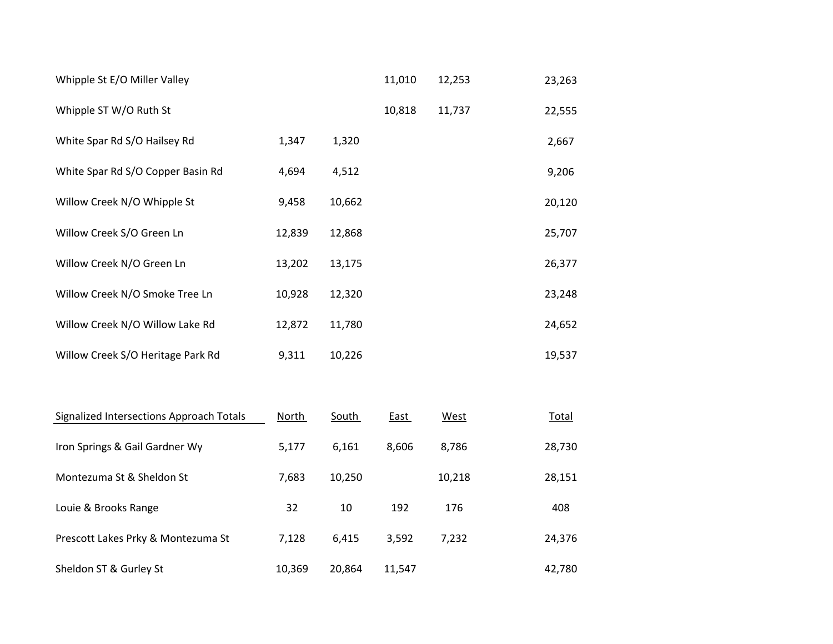| Whipple St E/O Miller Valley             |              |              | 11,010 | 12,253      | 23,263       |
|------------------------------------------|--------------|--------------|--------|-------------|--------------|
| Whipple ST W/O Ruth St                   |              |              | 10,818 | 11,737      | 22,555       |
| White Spar Rd S/O Hailsey Rd             | 1,347        | 1,320        |        |             | 2,667        |
| White Spar Rd S/O Copper Basin Rd        | 4,694        | 4,512        |        |             | 9,206        |
| Willow Creek N/O Whipple St              | 9,458        | 10,662       |        |             | 20,120       |
| Willow Creek S/O Green Ln                | 12,839       | 12,868       |        |             | 25,707       |
| Willow Creek N/O Green Ln                | 13,202       | 13,175       |        |             | 26,377       |
| Willow Creek N/O Smoke Tree Ln           | 10,928       | 12,320       |        |             | 23,248       |
| Willow Creek N/O Willow Lake Rd          | 12,872       | 11,780       |        |             | 24,652       |
| Willow Creek S/O Heritage Park Rd        | 9,311        | 10,226       |        |             | 19,537       |
|                                          |              |              |        |             |              |
| Signalized Intersections Approach Totals | <u>North</u> | <b>South</b> | East   | <b>West</b> | <b>Total</b> |
| Iron Springs & Gail Gardner Wy           | 5,177        | 6,161        | 8,606  | 8,786       | 28,730       |

| Iron Springs & Gail Gardner Wy     | 5,177  | 6,161  | 8.606  | 8,786  | 28,730 |
|------------------------------------|--------|--------|--------|--------|--------|
| Montezuma St & Sheldon St          | 7,683  | 10,250 |        | 10,218 | 28,151 |
| Louie & Brooks Range               | 32     | 10     | 192    | 176    | 408    |
| Prescott Lakes Prky & Montezuma St | 7,128  | 6,415  | 3,592  | 7,232  | 24,376 |
| Sheldon ST & Gurley St             | 10,369 | 20,864 | 11,547 |        | 42,780 |